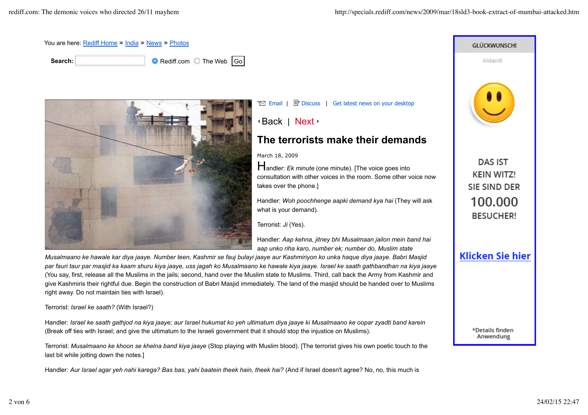

*Musalmaano ke hawale kar diya jaaye. Number teen, Kashmir se fauj bulayi jaaye aur Kashmiriyon ko unka haque diya jaaye. Babri Masjid par fauri taur par masjid ka kaam shuru kiya jaaye, uss jagah ko Musalmaano ke hawale kiya jaaye. Israel ke saath gathbandhan na kiya jaaye* (You say, first, release all the Muslims in the jails; second, hand over the Muslim state to Muslims. Third, call back the Army from Kashmir and give Kashmiris their rightful due. Begin the construction of Babri Masjid immediately. The land of the masjid should be handed over to Muslims right away. Do not maintain ties with Israel).

Terrorist: *Israel ke saath?* (With Israel?)

Handler: *Israel ke saath gathjod na kiya jaaye; aur Israel hukumat ko yeh ultimatum diya jaaye ki Musalmaano ke oopar zyadti band karein* (Break off ties with Israel; and give the ultimatum to the Israeli government that it should stop the injustice on Muslims).

Terrorist: *Musalmaano ke khoon se khelna band kiya jaaye* (Stop playing with Muslim blood). [The terrorist gives his own poetic touch to the last bit while jotting down the notes.]

Handler: Aur Israel agar yeh nahi karega? Bas bas, yahi baatein theek hain, theek hai? (And if Israel doesn't agree? No, no, this much is

**GLÜCKWUNSCH!** Aldaniti **DAS IST KEIN WITZ!** SIE SIND DER 100.000 **BESUCHER! Klicken Sie hier** 

> \*Details finden Anwendung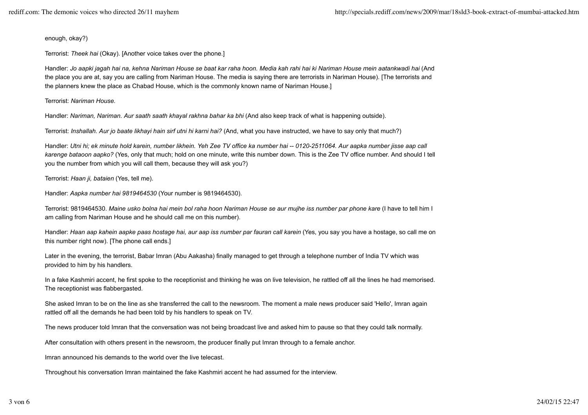enough, okay?)

Terrorist: *Theek hai* (Okay). [Another voice takes over the phone.]

Handler: *Jo aapki jagah hai na, kehna Nariman House se baat kar raha hoon. Media kah rahi hai ki Nariman House mein aatankwadi hai* (And the place you are at, say you are calling from Nariman House. The media is saying there are terrorists in Nariman House). [The terrorists and the planners knew the place as Chabad House, which is the commonly known name of Nariman House.]

Terrorist: *Nariman House.*

Handler: *Nariman, Nariman. Aur saath saath khayal rakhna bahar ka bhi* (And also keep track of what is happening outside).

Terrorist: *Inshallah. Aur jo baate likhayi hain sirf utni hi karni hai?* (And, what you have instructed, we have to say only that much?)

Handler: *Utni hi; ek minute hold karein, number likhein. Yeh Zee TV office ka number hai -- 0120-2511064. Aur aapka number jisse aap call karenge bataoon aapko?* (Yes, only that much; hold on one minute, write this number down. This is the Zee TV office number. And should I tell you the number from which you will call them, because they will ask you?)

Terrorist: *Haan ji, bataien* (Yes, tell me).

Handler: *Aapka number hai 9819464530* (Your number is 9819464530).

Terrorist: 9819464530. *Maine usko bolna hai mein bol raha hoon Nariman House se aur mujhe iss number par phone kare* (I have to tell him I am calling from Nariman House and he should call me on this number).

Handler: *Haan aap kahein aapke paas hostage hai, aur aap iss number par fauran call karein* (Yes, you say you have a hostage, so call me on this number right now). [The phone call ends.]

Later in the evening, the terrorist, Babar Imran (Abu Aakasha) finally managed to get through a telephone number of India TV which was provided to him by his handlers.

In a fake Kashmiri accent, he first spoke to the receptionist and thinking he was on live television, he rattled off all the lines he had memorised. The receptionist was flabbergasted.

She asked Imran to be on the line as she transferred the call to the newsroom. The moment a male news producer said 'Hello', Imran again rattled off all the demands he had been told by his handlers to speak on TV.

The news producer told Imran that the conversation was not being broadcast live and asked him to pause so that they could talk normally.

After consultation with others present in the newsroom, the producer finally put Imran through to a female anchor.

Imran announced his demands to the world over the live telecast.

Throughout his conversation Imran maintained the fake Kashmiri accent he had assumed for the interview.